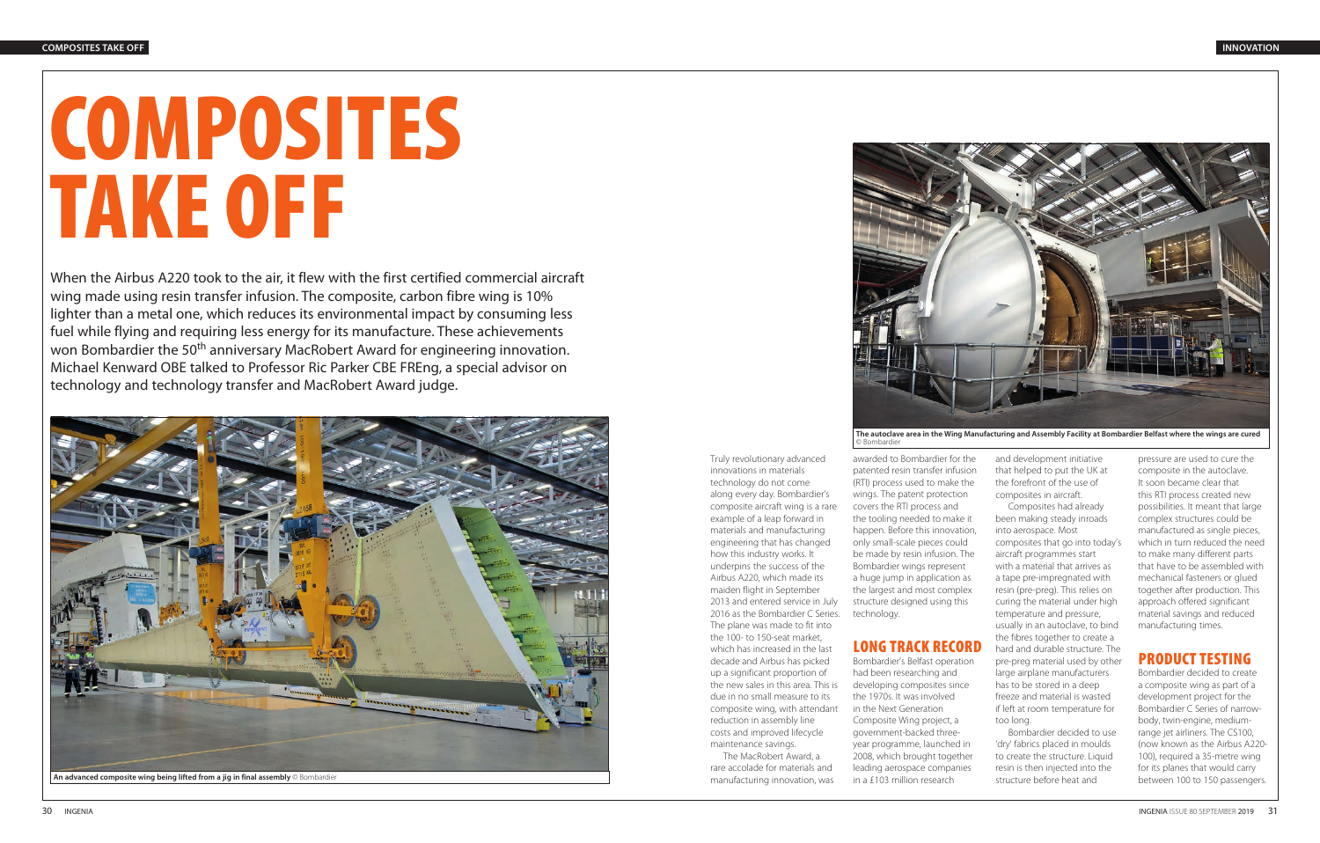Truly revolutionary advanced innovations in materials technology do not come along every day. Bombardier's composite aircraft wing is a rare example of a leap forward in materials and manufacturing engineering that has changed how this industry works. It underpins the success of the Airbus A220, which made its maiden flight in September 2013 and entered service in July

The plane was made to fit into the 100- to 150-seat market, which has increased in the last decade and Airbus has picked up a significant proportion of the new sales in this area. This is due in no small measure to its composite wing, with attendant reduction in assembly line costs and improved lifecycle maintenance savings.

The MacRobert Award, a rare accolade for materials and manufacturing innovation, was

2016 as the Bombardier C Series. technology.

awarded to Bombardier for the patented resin transfer infusion (RTI) process used to make the wings. The patent protection covers the RTI process and the tooling needed to make it happen. Before this innovation, only small-scale pieces could be made by resin infusion. The Bombardier wings represent a huge jump in application as the largest and most complex structure designed using this

## LONG TRACK RECORD

Bombardier's Belfast operation had been researching and developing composites since the 1970s. It was involved in the Next Generation Composite Wing project, a government-backed threeyear programme, launched in 2008, which brought together leading aerospace companies in a £103 million research

and development initiative that helped to put the UK at the forefront of the use of composites in aircraft.

Composites had already been making steady inroads into aerospace. Most composites that go into today's aircraft programmes start with a material that arrives as a tape pre-impregnated with resin (pre-preg). This relies on curing the material under high temperature and pressure, usually in an autoclave, to bind the fibres together to create a hard and durable structure. The pre-preg material used by other large airplane manufacturers has to be stored in a deep freeze and material is wasted if left at room temperature for too long.

Bombardier decided to use 'dry' fabrics placed in moulds to create the structure. Liquid resin is then injected into the structure before heat and

pressure are used to cure the composite in the autoclave. It soon became clear that this RTI process created new possibilities. It meant that large complex structures could be manufactured as single pieces, which in turn reduced the need to make many different parts that have to be assembled with mechanical fasteners or glued together after production. This approach offered significant material savings and reduced manufacturing times.

# PRODUCT TESTING

Bombardier decided to create a composite wing as part of a development project for the Bombardier C Series of narrowbody, twin-engine, mediumrange jet airliners. The CS100, (now known as the Airbus A220- 100), required a 35-metre wing for its planes that would carry between 100 to 150 passengers.



# COMPOSITES TAKE OFF



When the Airbus A220 took to the air, it flew with the first certified commercial aircraft wing made using resin transfer infusion. The composite, carbon fibre wing is 10% lighter than a metal one, which reduces its environmental impact by consuming less fuel while flying and requiring less energy for its manufacture. These achievements won Bombardier the 50<sup>th</sup> anniversary MacRobert Award for engineering innovation. Michael Kenward OBE talked to Professor Ric Parker CBE FREng, a special advisor on technology and technology transfer and MacRobert Award judge.